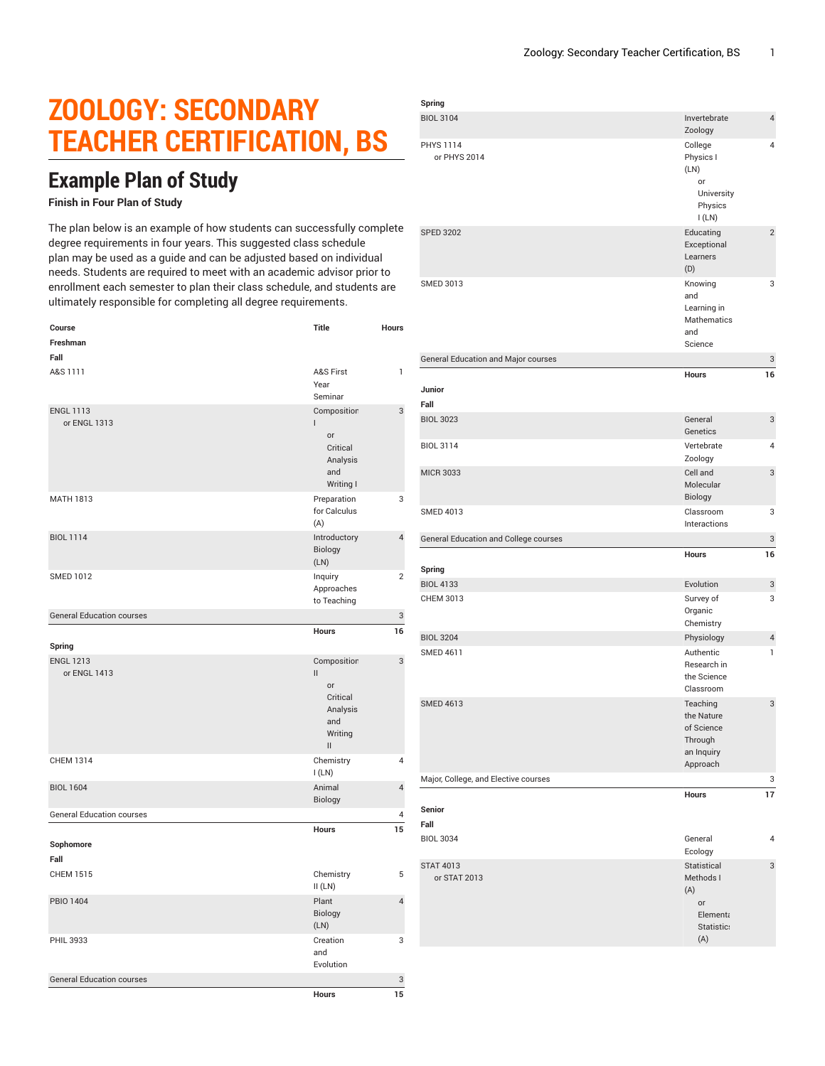## **ZOOLOGY: SECONDARY TEACHER CERTIFICATION, BS**

## **Example Plan of Study**

## **Finish in Four Plan of Study**

The plan below is an example of how students can successfully complete degree requirements in four years. This suggested class schedule plan may be used as a guide and can be adjusted based on individual needs. Students are required to meet with an academic advisor prior to enrollment each semester to plan their class schedule, and students are ultimately responsible for completing all degree requirements.

| Course                           | Title                                                                                                                     | Hours                   |
|----------------------------------|---------------------------------------------------------------------------------------------------------------------------|-------------------------|
| Freshman                         |                                                                                                                           |                         |
| Fall                             |                                                                                                                           |                         |
| A&S 1111                         | A&S First<br>Year<br>Seminar                                                                                              | 1                       |
| <b>ENGL 1113</b>                 | Composition                                                                                                               | 3                       |
| or ENGL 1313                     | T<br>or<br>Critical<br>Analysis<br>and<br>Writing I                                                                       |                         |
| <b>MATH 1813</b>                 | Preparation<br>for Calculus<br>(A)                                                                                        | 3                       |
| <b>BIOL 1114</b>                 | Introductory<br>Biology<br>(LN)                                                                                           | $\overline{4}$          |
| <b>SMED 1012</b>                 | Inquiry<br>Approaches<br>to Teaching                                                                                      | $\overline{2}$          |
| <b>General Education courses</b> |                                                                                                                           | 3                       |
|                                  | Hours                                                                                                                     | 16                      |
| Spring                           |                                                                                                                           |                         |
| <b>ENGL 1213</b><br>or ENGL 1413 | Composition<br>$\mathbf{II}$<br>or<br>Critical<br>Analysis<br>and<br>Writing<br>$\label{eq:1} \prod_{i=1}^n \mathbb{I}^i$ | 3                       |
| <b>CHEM 1314</b>                 | Chemistry<br>I(LN)                                                                                                        | 4                       |
| <b>BIOL 1604</b>                 | Animal<br>Biology                                                                                                         | 4                       |
| <b>General Education courses</b> |                                                                                                                           | 4                       |
| Sophomore<br>Fall                | Hours                                                                                                                     | 15                      |
| <b>CHEM 1515</b>                 | Chemistry<br>II(LN)                                                                                                       | 5                       |
| <b>PBIO 1404</b>                 | Plant<br>Biology<br>(LN)                                                                                                  | $\overline{\mathbf{4}}$ |
| PHIL 3933                        | Creation<br>and<br>Evolution                                                                                              | 3                       |
| <b>General Education courses</b> |                                                                                                                           | 3                       |
|                                  | <b>Hours</b>                                                                                                              | 15                      |

| Spring                                |                                                                           |                |
|---------------------------------------|---------------------------------------------------------------------------|----------------|
| <b>BIOL 3104</b>                      | Invertebrate<br>Zoology                                                   | $\overline{4}$ |
| <b>PHYS 1114</b><br>or PHYS 2014      | College<br>Physics I<br>(LN)<br>or<br>University<br>Physics<br>I(LN)      | 4              |
| <b>SPED 3202</b>                      | Educating<br>Exceptional<br>Learners<br>(D)                               | $\overline{c}$ |
| <b>SMED 3013</b>                      | Knowing<br>and<br>Learning in<br>Mathematics<br>and<br>Science            | 3              |
| General Education and Major courses   |                                                                           | 3              |
| Junior<br>Fall                        | <b>Hours</b>                                                              | 16             |
| <b>BIOL 3023</b>                      | General<br>Genetics                                                       | 3              |
| <b>BIOL 3114</b>                      | Vertebrate<br>Zoology                                                     | 4              |
| <b>MICR 3033</b>                      | Cell and<br>Molecular<br>Biology                                          | 3              |
| <b>SMED 4013</b>                      | Classroom<br>Interactions                                                 | 3              |
| General Education and College courses |                                                                           | 3              |
| Spring                                | <b>Hours</b>                                                              | 16             |
| <b>BIOL 4133</b>                      | Evolution                                                                 | 3              |
| CHEM 3013                             | Survey of<br>Organic<br>Chemistry                                         | 3              |
| <b>BIOL 3204</b>                      | Physiology                                                                | $\overline{4}$ |
| <b>SMED 4611</b>                      | Authentic<br>Research in<br>the Science<br>Classroom                      | $\mathbf{1}$   |
| <b>SMED 4613</b>                      | Teaching<br>the Nature<br>of Science<br>Through<br>an Inquiry<br>Approach | 3              |
| Major, College, and Elective courses  |                                                                           | 3              |
| Senior<br>Fall                        | <b>Hours</b>                                                              | 17             |
| <b>BIOL 3034</b>                      | General<br>Ecology                                                        | 4              |
| <b>STAT 4013</b><br>or STAT 2013      | Statistical<br>Methods I<br>(A)<br>or<br>Elementa<br>Statistic:<br>(A)    | 3              |
|                                       |                                                                           |                |